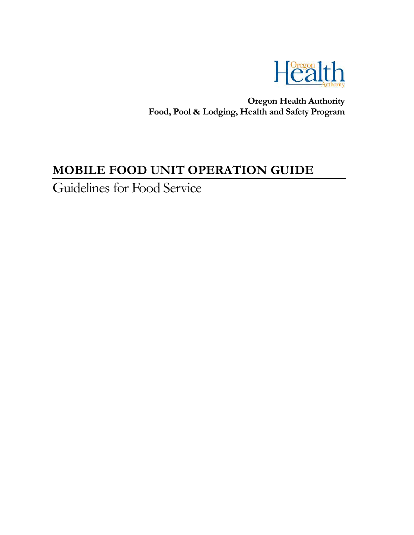

 **Oregon Health Authority Food, Pool & Lodging, Health and Safety Program**

# **MOBILE FOOD UNIT OPERATION GUIDE**

Guidelines for Food Service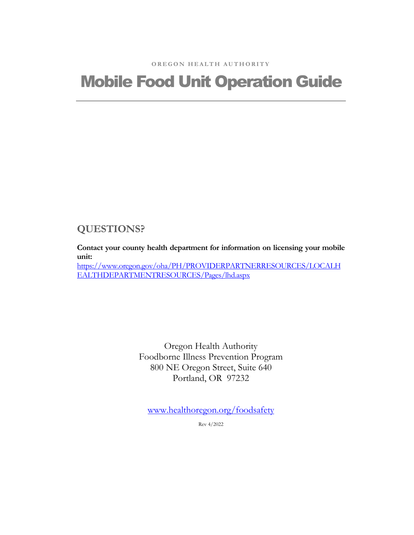# Mobile Food Unit Operation Guide

#### **QUESTIONS?**

**Contact your county health department for information on licensing your mobile unit:** [https://www.oregon.gov/oha/PH/PROVIDERPARTNERRESOURCES/LOCALH](https://www.oregon.gov/oha/PH/PROVIDERPARTNERRESOURCES/LOCALHEALTHDEPARTMENTRESOURCES/Pages/lhd.aspx) [EALTHDEPARTMENTRESOURCES/Pages/lhd.aspx](https://www.oregon.gov/oha/PH/PROVIDERPARTNERRESOURCES/LOCALHEALTHDEPARTMENTRESOURCES/Pages/lhd.aspx)

> Oregon Health Authority Foodborne Illness Prevention Program 800 NE Oregon Street, Suite 640 Portland, OR 97232

[www.healthoregon.org/foodsafety](http://www.healthoregon.org/foodsafety)

Rev 4/2022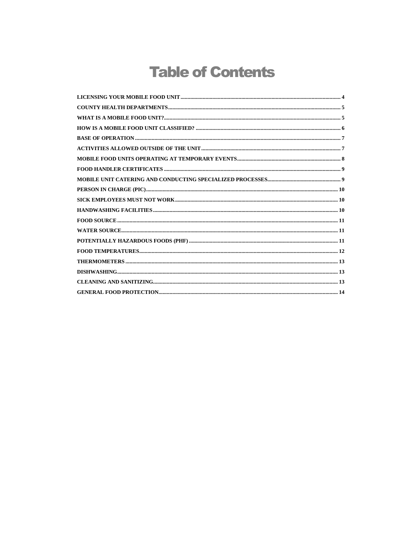# **Table of Contents**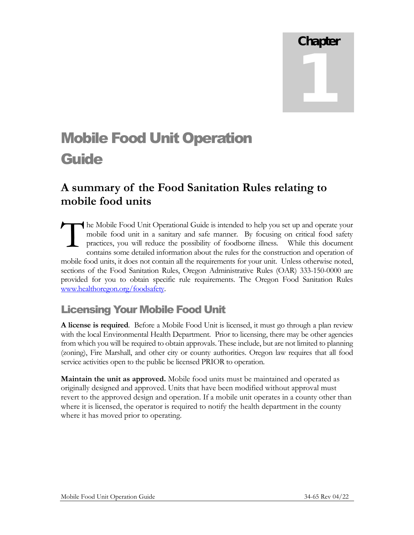# Chapter 1

# Mobile Food Unit Operation **Guide**

# **A summary of the Food Sanitation Rules relating to mobile food units**

he Mobile Food Unit Operational Guide is intended to help you set up and operate your mobile food unit in a sanitary and safe manner. By focusing on critical food safety practices, you will reduce the possibility of foodborne illness. While this document contains some detailed information about the rules for the construction and operation of mobile food units, it does not contain all the requirements for your unit. Unless otherwise noted, sections of the Food Sanitation Rules, Oregon Administrative Rules (OAR) 333-150-0000 are provided for you to obtain specific rule requirements. The Oregon Food Sanitation Rules [www.healthoregon.org/foodsafety.](http://www.healthoregon.org/foodsafety) T

## <span id="page-3-0"></span>Licensing Your Mobile Food Unit

**A license is required**. Before a Mobile Food Unit is licensed, it must go through a plan review with the local Environmental Health Department. Prior to licensing, there may be other agencies from which you will be required to obtain approvals. These include, but are not limited to planning (zoning), Fire Marshall, and other city or county authorities. Oregon law requires that all food service activities open to the public be licensed PRIOR to operation.

**Maintain the unit as approved.** Mobile food units must be maintained and operated as originally designed and approved. Units that have been modified without approval must revert to the approved design and operation. If a mobile unit operates in a county other than where it is licensed, the operator is required to notify the health department in the county where it has moved prior to operating.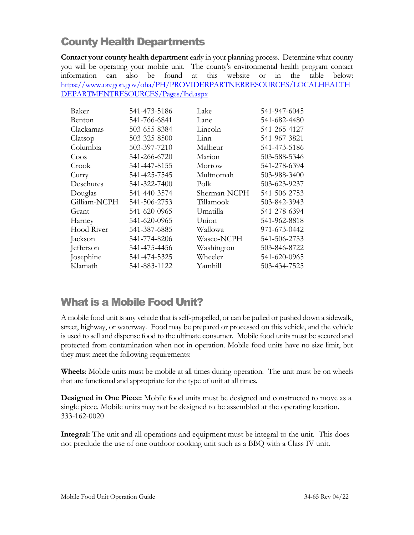# <span id="page-4-0"></span>County Health Departments

**Contact your county health department** early in your planning process. Determine what county you will be operating your mobile unit. The county's environmental health program contact information can also be found at this website or in the table below: [https://www.oregon.gov/oha/PH/PROVIDERPARTNERRESOURCES/LOCALHEALTH](https://www.oregon.gov/oha/PH/PROVIDERPARTNERRESOURCES/LOCALHEALTHDEPARTMENTRESOURCES/Pages/lhd.aspx) [DEPARTMENTRESOURCES/Pages/lhd.aspx](https://www.oregon.gov/oha/PH/PROVIDERPARTNERRESOURCES/LOCALHEALTHDEPARTMENTRESOURCES/Pages/lhd.aspx)

| Baker        | 541-473-5186 | Lake         | 541-947-6045 |
|--------------|--------------|--------------|--------------|
| Benton       | 541-766-6841 | Lane         | 541-682-4480 |
| Clackamas    | 503-655-8384 | Lincoln      | 541-265-4127 |
| Clatsop      | 503-325-8500 | Linn         | 541-967-3821 |
| Columbia     | 503-397-7210 | Malheur      | 541-473-5186 |
| Coos         | 541-266-6720 | Marion       | 503-588-5346 |
| Crook        | 541-447-8155 | Morrow       | 541-278-6394 |
| Curry        | 541-425-7545 | Multnomah    | 503-988-3400 |
| Deschutes    | 541-322-7400 | Polk         | 503-623-9237 |
| Douglas      | 541-440-3574 | Sherman-NCPH | 541-506-2753 |
| Gilliam-NCPH | 541-506-2753 | Tillamook    | 503-842-3943 |
| Grant        | 541-620-0965 | Umatilla     | 541-278-6394 |
| Harney       | 541-620-0965 | Union        | 541-962-8818 |
| Hood River   | 541-387-6885 | Wallowa      | 971-673-0442 |
| Jackson      | 541-774-8206 | Wasco-NCPH   | 541-506-2753 |
| Jefferson    | 541-475-4456 | Washington   | 503-846-8722 |
| Josephine    | 541-474-5325 | Wheeler      | 541-620-0965 |
| Klamath      | 541-883-1122 | Yamhill      | 503-434-7525 |

#### <span id="page-4-1"></span>What is a Mobile Food Unit?

A mobile food unit is any vehicle that is self-propelled, or can be pulled or pushed down a sidewalk, street, highway, or waterway. Food may be prepared or processed on this vehicle, and the vehicle is used to sell and dispense food to the ultimate consumer. Mobile food units must be secured and protected from contamination when not in operation. Mobile food units have no size limit, but they must meet the following requirements:

**Wheels**: Mobile units must be mobile at all times during operation. The unit must be on wheels that are functional and appropriate for the type of unit at all times.

**Designed in One Piece:** Mobile food units must be designed and constructed to move as a single piece. Mobile units may not be designed to be assembled at the operating location. 333-162-0020

**Integral:** The unit and all operations and equipment must be integral to the unit. This does not preclude the use of one outdoor cooking unit such as a BBQ with a Class IV unit.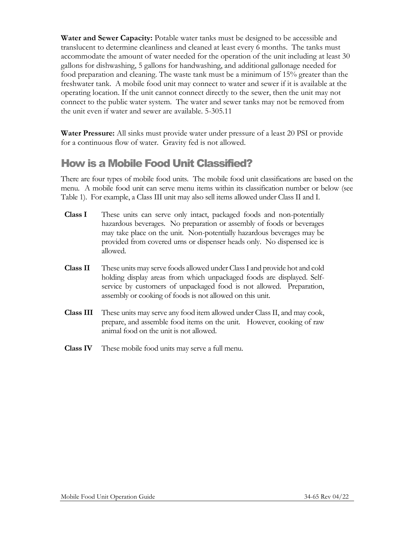**Water and Sewer Capacity:** Potable water tanks must be designed to be accessible and translucent to determine cleanliness and cleaned at least every 6 months. The tanks must accommodate the amount of water needed for the operation of the unit including at least 30 gallons for dishwashing, 5 gallons for handwashing, and additional gallonage needed for food preparation and cleaning. The waste tank must be a minimum of 15% greater than the freshwater tank. A mobile food unit may connect to water and sewer if it is available at the operating location. If the unit cannot connect directly to the sewer, then the unit may not connect to the public water system. The water and sewer tanks may not be removed from the unit even if water and sewer are available. 5-305.11

**Water Pressure:** All sinks must provide water under pressure of a least 20 PSI or provide for a continuous flow of water. Gravity fed is not allowed.

# <span id="page-5-0"></span>How is a Mobile Food Unit Classified?

There are four types of mobile food units. The mobile food unit classifications are based on the menu. A mobile food unit can serve menu items within its classification number or below (see Table 1). For example, a Class III unit may also sell items allowed under Class II and I.

- **Class I** These units can serve only intact, packaged foods and non-potentially hazardous beverages. No preparation or assembly of foods or beverages may take place on the unit. Non-potentially hazardous beverages may be provided from covered urns or dispenser heads only. No dispensed ice is allowed.
- **Class II** These units may serve foods allowed under Class I and provide hot and cold holding display areas from which unpackaged foods are displayed. Selfservice by customers of unpackaged food is not allowed. Preparation, assembly or cooking of foods is not allowed on this unit.
- **Class III** These units may serve any food item allowed under Class II, and may cook, prepare, and assemble food items on the unit. However, cooking of raw animal food on the unit is not allowed.
- **Class IV** These mobile food units may serve a full menu.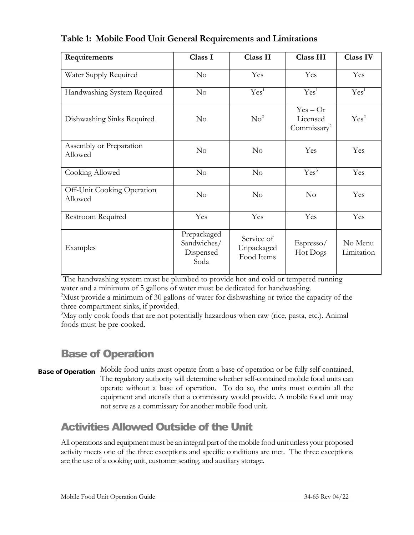| Requirements                          | Class I                                         | Class II                               | <b>Class III</b>                                  | <b>Class IV</b>       |
|---------------------------------------|-------------------------------------------------|----------------------------------------|---------------------------------------------------|-----------------------|
| Water Supply Required                 | No                                              | Yes                                    | Yes                                               | Yes                   |
| Handwashing System Required           | No                                              | Yes <sup>1</sup>                       | Yes <sup>1</sup>                                  | Yes <sup>1</sup>      |
| Dishwashing Sinks Required            | $\rm No$                                        | No <sup>2</sup>                        | $Yes - Or$<br>Licensed<br>Commissary <sup>2</sup> | Yes <sup>2</sup>      |
| Assembly or Preparation<br>Allowed    | No                                              | $\rm No$                               | Yes                                               | Yes                   |
| Cooking Allowed                       | No                                              | No                                     | Yes <sup>3</sup>                                  | Yes                   |
| Off-Unit Cooking Operation<br>Allowed | No                                              | No                                     | No                                                | Yes                   |
| Restroom Required                     | Yes                                             | Yes                                    | Yes                                               | Yes                   |
| Examples                              | Prepackaged<br>Sandwiches/<br>Dispensed<br>Soda | Service of<br>Unpackaged<br>Food Items | Espresso/<br>Hot Dogs                             | No Menu<br>Limitation |

#### **Table 1: Mobile Food Unit General Requirements and Limitations**

<sup>1</sup>The handwashing system must be plumbed to provide hot and cold or tempered running water and a minimum of 5 gallons of water must be dedicated for handwashing.

<sup>2</sup>Must provide a minimum of 30 gallons of water for dishwashing or twice the capacity of the three compartment sinks, if provided.

<sup>3</sup>May only cook foods that are not potentially hazardous when raw (rice, pasta, etc.). Animal foods must be pre-cooked.

# <span id="page-6-0"></span>Base of Operation

Mobile food units must operate from a base of operation or be fully self-contained. The regulatory authority will determine whether self-contained mobile food units can operate without a base of operation. To do so, the units must contain all the equipment and utensils that a commissary would provide. A mobile food unit may not serve as a commissary for another mobile food unit. Base of Operation

# <span id="page-6-1"></span>Activities Allowed Outside of the Unit

All operations and equipment must be an integral part of the mobile food unit unless your proposed activity meets one of the three exceptions and specific conditions are met. The three exceptions are the use of a cooking unit, customer seating, and auxiliary storage.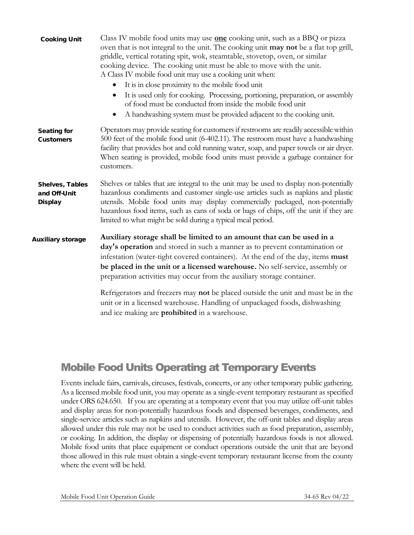| Cooking Unit                               | Class IV mobile food units may use <b>one</b> cooking unit, such as a BBQ or pizza<br>oven that is not integral to the unit. The cooking unit may not be a flat top grill,<br>griddle, vertical rotating spit, wok, steamtable, stovetop, oven, or similar<br>cooking device. The cooking unit must be able to move with the unit.<br>A Class IV mobile food unit may use a cooking unit when:<br>It is in close proximity to the mobile food unit<br>It is used only for cooking. Processing, portioning, preparation, or assembly |
|--------------------------------------------|-------------------------------------------------------------------------------------------------------------------------------------------------------------------------------------------------------------------------------------------------------------------------------------------------------------------------------------------------------------------------------------------------------------------------------------------------------------------------------------------------------------------------------------|
|                                            | of food must be conducted from inside the mobile food unit                                                                                                                                                                                                                                                                                                                                                                                                                                                                          |
|                                            | A handwashing system must be provided adjacent to the cooking unit.                                                                                                                                                                                                                                                                                                                                                                                                                                                                 |
| Seating for<br>Customers                   | Operators may provide seating for customers if restrooms are readily accessible within<br>500 feet of the mobile food unit (6-402.11). The restroom must have a handwashing<br>facility that provides hot and cold running water, soap, and paper towels or air dryer.<br>When seating is provided, mobile food units must provide a garbage container for<br>customers.                                                                                                                                                            |
| Shelves, Tables<br>and Off-Unit<br>Display | Shelves or tables that are integral to the unit may be used to display non-potentially<br>hazardous condiments and customer single-use articles such as napkins and plastic<br>utensils. Mobile food units may display commercially packaged, non-potentially<br>hazardous food items, such as cans of soda or bags of chips, off the unit if they are<br>limited to what might be sold during a typical meal period.                                                                                                               |
| Auxiliary storage                          | Auxiliary storage shall be limited to an amount that can be used in a<br>day's operation and stored in such a manner as to prevent contamination or<br>infestation (water-tight covered containers). At the end of the day, items must<br>be placed in the unit or a licensed warehouse. No self-service, assembly or<br>preparation activities may occur from the auxiliary storage container.                                                                                                                                     |
|                                            | Refrigerators and freezers may not be placed outside the unit and must be in the<br>unit or in a licensed warehouse. Handling of unpackaged foods, dishwashing<br>and ice making are <b>prohibited</b> in a warehouse.                                                                                                                                                                                                                                                                                                              |

#### <span id="page-7-0"></span>Mobile Food Units Operating at Temporary Events

Events include fairs, carnivals, circuses, festivals, concerts, or any other temporary public gathering. As a licensed mobile food unit, you may operate as a single-event temporary restaurant as specified under ORS 624.650. If you are operating at a temporary event that you may utilize off-unit tables and display areas for non-potentially hazardous foods and dispensed beverages, condiments, and single-service articles such as napkins and utensils. However, the off-unit tables and display areas allowed under this rule may not be used to conduct activities such as food preparation, assembly, or cooking. In addition, the display or dispensing of potentially hazardous foods is not allowed. Mobile food units that place equipment or conduct operations outside the unit that are beyond those allowed in this rule must obtain a single-event temporary restaurant license from the county where the event will be held.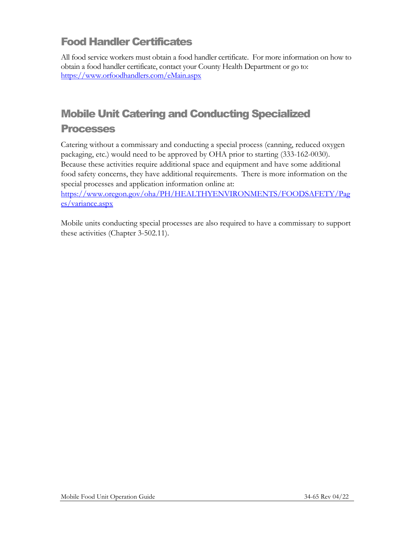# <span id="page-8-0"></span>Food Handler Certificates

All food service workers must obtain a food handler certificate. For more information on how to obtain a food handler certificate, contact your County Health Department or go to: <https://www.orfoodhandlers.com/eMain.aspx>

# <span id="page-8-1"></span>Mobile Unit Catering and Conducting Specialized

#### Processes

Catering without a commissary and conducting a special process (canning, reduced oxygen packaging, etc.) would need to be approved by OHA prior to starting (333-162-0030). Because these activities require additional space and equipment and have some additional food safety concerns, they have additional requirements. There is more information on the special processes and application information online at:

[https://www.oregon.gov/oha/PH/HEALTHYENVIRONMENTS/FOODSAFETY/Pag](https://www.oregon.gov/oha/PH/HEALTHYENVIRONMENTS/FOODSAFETY/Pages/variance.aspx) [es/variance.aspx](https://www.oregon.gov/oha/PH/HEALTHYENVIRONMENTS/FOODSAFETY/Pages/variance.aspx)

Mobile units conducting special processes are also required to have a commissary to support these activities (Chapter 3-502.11).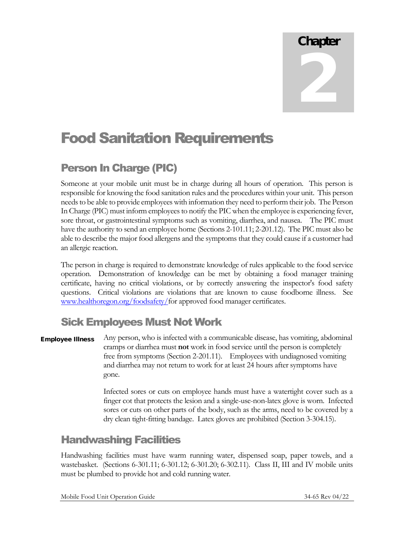# Chapter 2

# Food Sanitation Requirements

# <span id="page-9-0"></span>Person In Charge (PIC)

Someone at your mobile unit must be in charge during all hours of operation. This person is responsible for knowing the food sanitation rules and the procedures within your unit. This person needs to be able to provide employees with information they need to perform their job. The Person In Charge (PIC) must inform employees to notify the PIC when the employee is experiencing fever, sore throat, or gastrointestinal symptoms such as vomiting, diarrhea, and nausea. The PIC must have the authority to send an employee home (Sections 2-101.11; 2-201.12). The PIC must also be able to describe the major food allergens and the symptoms that they could cause if a customer had an allergic reaction.

The person in charge is required to demonstrate knowledge of rules applicable to the food service operation. Demonstration of knowledge can be met by obtaining a food manager training certificate, having no critical violations, or by correctly answering the inspector's food safety questions. Critical violations are violations that are known to cause foodborne illness. See [www.healthoregon.org/foodsafety/f](http://www.healthoregon.org/foodsafety/)or approved food manager certificates.

## <span id="page-9-1"></span>Sick Employees Must Not Work

Any person, who is infected with a communicable disease, has vomiting, abdominal cramps or diarrhea must **not** work in food service until the person is completely free from symptoms (Section 2-201.11). Employees with undiagnosed vomiting and diarrhea may not return to work for at least 24 hours after symptoms have gone. Employee Illness

> Infected sores or cuts on employee hands must have a watertight cover such as a finger cot that protects the lesion and a single-use-non-latex glove is worn. Infected sores or cuts on other parts of the body, such as the arms, need to be covered by a dry clean tight-fitting bandage. Latex gloves are prohibited (Section 3-304.15).

## <span id="page-9-2"></span>Handwashing Facilities

Handwashing facilities must have warm running water, dispensed soap, paper towels, and a wastebasket. (Sections 6-301.11; 6-301.12; 6-301.20; 6-302.11). Class II, III and IV mobile units must be plumbed to provide hot and cold running water.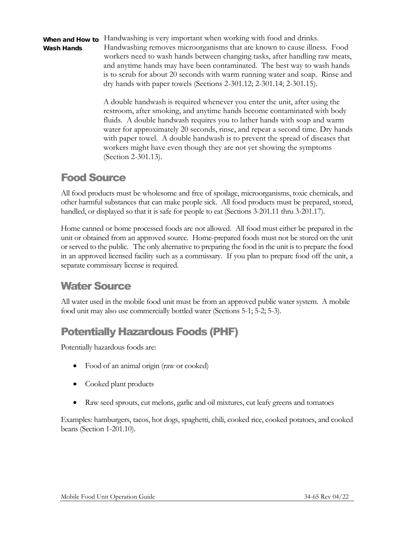Wash Hands

When and How to Handwashing is very important when working with food and drinks. Handwashing removes microorganisms that are known to cause illness. Food workers need to wash hands between changing tasks, after handling raw meats, and anytime hands may have been contaminated. The best way to wash hands is to scrub for about 20 seconds with warm running water and soap. Rinse and dry hands with paper towels (Sections 2-301.12; 2-301.14; 2-301.15).

> A double handwash is required whenever you enter the unit, after using the restroom, after smoking, and anytime hands become contaminated with body fluids. A double handwash requires you to lather hands with soap and warm water for approximately 20 seconds, rinse, and repeat a second time. Dry hands with paper towel. A double handwash is to prevent the spread of diseases that workers might have even though they are not yet showing the symptoms (Section 2-301.13).

### <span id="page-10-0"></span>Food Source

All food products must be wholesome and free of spoilage, microorganisms, toxic chemicals, and other harmful substances that can make people sick. All food products must be prepared, stored, handled, or displayed so that it is safe for people to eat (Sections 3-201.11 thru 3-201.17).

Home canned or home processed foods are not allowed. All food must either be prepared in the unit or obtained from an approved source. Home-prepared foods must not be stored on the unit or served to the public. The only alternative to preparing the food in the unit is to prepare the food in an approved licensed facility such as a commissary. If you plan to prepare food off the unit, a separate commissary license is required.

# <span id="page-10-1"></span>Water Source

All water used in the mobile food unit must be from an approved public water system. A mobile food unit may also use commercially bottled water (Sections 5-1; 5-2; 5-3).

# <span id="page-10-2"></span>Potentially Hazardous Foods (PHF)

Potentially hazardous foods are:

- Food of an animal origin (raw or cooked)
- Cooked plant products
- Raw seed sprouts, cut melons, garlic and oil mixtures, cut leafy greens and tomatoes

Examples: hamburgers, tacos, hot dogs, spaghetti, chili, cooked rice, cooked potatoes, and cooked beans (Section 1-201.10).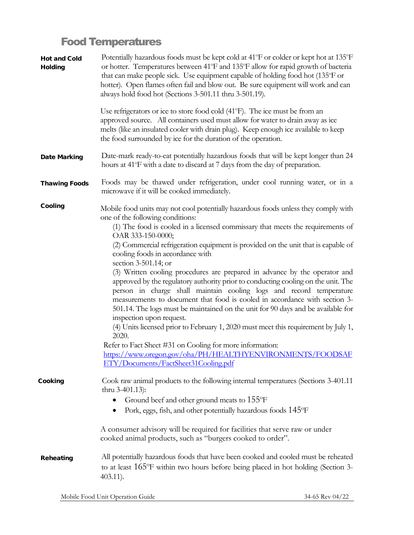# <span id="page-11-0"></span>Food Temperatures

| Hot and Cold<br>Holding | Potentially hazardous foods must be kept cold at 41°F or colder or kept hot at 135°F<br>or hotter. Temperatures between 41°F and 135°F allow for rapid growth of bacteria<br>that can make people sick. Use equipment capable of holding food hot (135°F or<br>hotter). Open flames often fail and blow out. Be sure equipment will work and can<br>always hold food hot (Sections 3-501.11 thru 3-501.19).                                                                                                                                        |
|-------------------------|----------------------------------------------------------------------------------------------------------------------------------------------------------------------------------------------------------------------------------------------------------------------------------------------------------------------------------------------------------------------------------------------------------------------------------------------------------------------------------------------------------------------------------------------------|
|                         | Use refrigerators or ice to store food cold (41°F). The ice must be from an<br>approved source. All containers used must allow for water to drain away as ice<br>melts (like an insulated cooler with drain plug). Keep enough ice available to keep<br>the food surrounded by ice for the duration of the operation.                                                                                                                                                                                                                              |
| Date Marking            | Date-mark ready-to-eat potentially hazardous foods that will be kept longer than 24<br>hours at 41°F with a date to discard at 7 days from the day of preparation.                                                                                                                                                                                                                                                                                                                                                                                 |
| Thawing Foods           | Foods may be thawed under refrigeration, under cool running water, or in a<br>microwave if it will be cooked immediately.                                                                                                                                                                                                                                                                                                                                                                                                                          |
| Cooling                 | Mobile food units may not cool potentially hazardous foods unless they comply with<br>one of the following conditions:                                                                                                                                                                                                                                                                                                                                                                                                                             |
|                         | (1) The food is cooled in a licensed commissary that meets the requirements of<br>OAR 333-150-0000;<br>(2) Commercial refrigeration equipment is provided on the unit that is capable of<br>cooling foods in accordance with                                                                                                                                                                                                                                                                                                                       |
|                         | section 3-501.14; or<br>(3) Written cooling procedures are prepared in advance by the operator and<br>approved by the regulatory authority prior to conducting cooling on the unit. The<br>person in charge shall maintain cooling logs and record temperature<br>measurements to document that food is cooled in accordance with section 3-<br>501.14. The logs must be maintained on the unit for 90 days and be available for<br>inspection upon request.<br>(4) Units licensed prior to February 1, 2020 must meet this requirement by July 1, |
|                         | 2020.<br>Refer to Fact Sheet #31 on Cooling for more information:<br>https://www.oregon.gov/oha/PH/HEALTHYENVIRONMENTS/FOODSAF<br>ETY/Documents/FactSheet31Cooling.pdf                                                                                                                                                                                                                                                                                                                                                                             |
| Cooking                 | Cook raw animal products to the following internal temperatures (Sections 3-401.11<br>thru $3-401.13$ :<br>Ground beef and other ground meats to 155°F<br>Pork, eggs, fish, and other potentially hazardous foods 145°F                                                                                                                                                                                                                                                                                                                            |
|                         | A consumer advisory will be required for facilities that serve raw or under<br>cooked animal products, such as "burgers cooked to order".                                                                                                                                                                                                                                                                                                                                                                                                          |
| Reheating               | All potentially hazardous foods that have been cooked and cooled must be reheated<br>to at least $165^{\circ}$ F within two hours before being placed in hot holding (Section 3-<br>$403.11$ ).                                                                                                                                                                                                                                                                                                                                                    |
|                         |                                                                                                                                                                                                                                                                                                                                                                                                                                                                                                                                                    |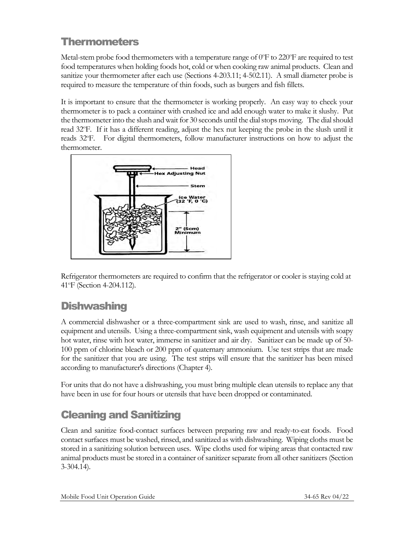# <span id="page-12-0"></span>**Thermometers**

Metal-stem probe food thermometers with a temperature range of  $0^{\circ}$ F to 220 $^{\circ}$ F are required to test food temperatures when holding foods hot, cold or when cooking raw animal products. Clean and sanitize your thermometer after each use (Sections 4-203.11; 4-502.11). A small diameter probe is required to measure the temperature of thin foods, such as burgers and fish fillets.

It is important to ensure that the thermometer is working properly. An easy way to check your thermometer is to pack a container with crushed ice and add enough water to make it slushy. Put the thermometer into the slush and wait for 30 seconds until the dial stops moving. The dial should read 32°F. If it has a different reading, adjust the hex nut keeping the probe in the slush until it reads 32°F. For digital thermometers, follow manufacturer instructions on how to adjust the thermometer.



Refrigerator thermometers are required to confirm that the refrigerator or cooler is staying cold at 41<sup>o</sup>F (Section 4-204.112).

# <span id="page-12-1"></span>**Dishwashing**

A commercial dishwasher or a three-compartment sink are used to wash, rinse, and sanitize all equipment and utensils. Using a three-compartment sink, wash equipment and utensils with soapy hot water, rinse with hot water, immerse in sanitizer and air dry. Sanitizer can be made up of 50- 100 ppm of chlorine bleach or 200 ppm of quaternary ammonium. Use test strips that are made for the sanitizer that you are using. The test strips will ensure that the sanitizer has been mixed according to manufacturer's directions (Chapter 4).

For units that do not have a dishwashing, you must bring multiple clean utensils to replace any that have been in use for four hours or utensils that have been dropped or contaminated.

# <span id="page-12-2"></span>Cleaning and Sanitizing

Clean and sanitize food-contact surfaces between preparing raw and ready-to-eat foods. Food contact surfaces must be washed, rinsed, and sanitized as with dishwashing. Wiping cloths must be stored in a sanitizing solution between uses. Wipe cloths used for wiping areas that contacted raw animal products must be stored in a container of sanitizer separate from all other sanitizers (Section 3-304.14).